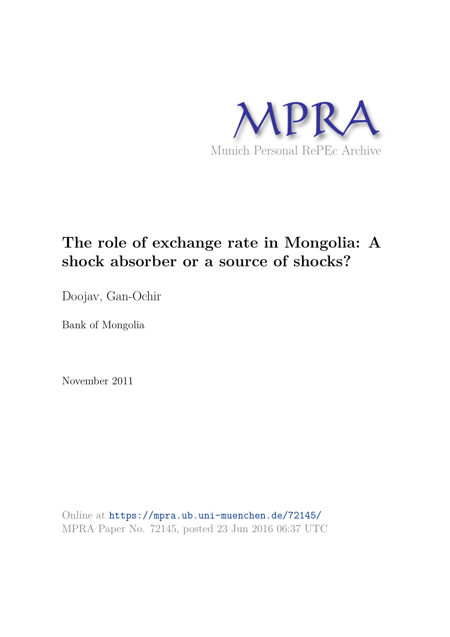

# **The role of exchange rate in Mongolia: A shock absorber or a source of shocks?**

Doojav, Gan-Ochir

Bank of Mongolia

November 2011

Online at https://mpra.ub.uni-muenchen.de/72145/ MPRA Paper No. 72145, posted 23 Jun 2016 06:37 UTC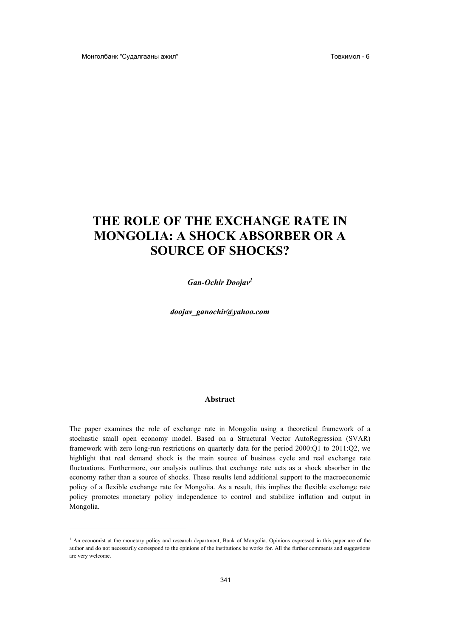# THE ROLE OF THE EXCHANGE RATE IN **MONGOLIA: A SHOCK ABSORBER OR A SOURCE OF SHOCKS?**

Gan-Ochir Doojav<sup>1</sup>

doojav ganochir@yahoo.com

#### Abstract

The paper examines the role of exchange rate in Mongolia using a theoretical framework of a stochastic small open economy model. Based on a Structural Vector AutoRegression (SVAR) framework with zero long-run restrictions on quarterly data for the period 2000:Q1 to 2011:Q2, we highlight that real demand shock is the main source of business cycle and real exchange rate fluctuations. Furthermore, our analysis outlines that exchange rate acts as a shock absorber in the economy rather than a source of shocks. These results lend additional support to the macroeconomic policy of a flexible exchange rate for Mongolia. As a result, this implies the flexible exchange rate policy promotes monetary policy independence to control and stabilize inflation and output in Mongolia.

<sup>&</sup>lt;sup>1</sup> An economist at the monetary policy and research department, Bank of Mongolia. Opinions expressed in this paper are of the author and do not necessarily correspond to the opinions of the institutions he works for. All the further comments and suggestions are very welcome.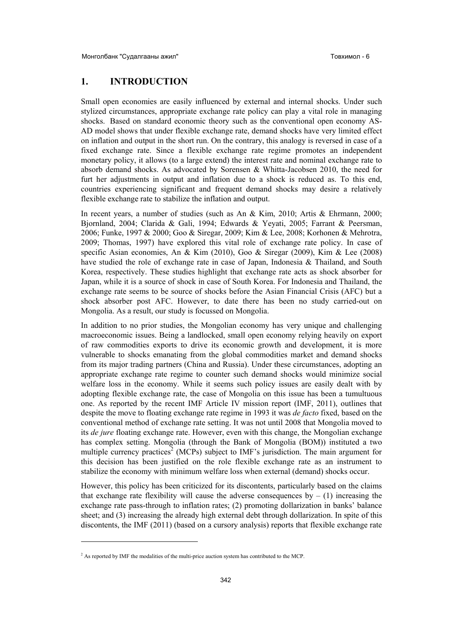## **1. INTRODUCTION**

Small open economies are easily influenced by external and internal shocks. Under such stylized circumstances, appropriate exchange rate policy can play a vital role in managing shocks. Based on standard economic theory such as the conventional open economy AS-AD model shows that under flexible exchange rate, demand shocks have very limited effect on inflation and output in the short run. On the contrary, this analogy is reversed in case of a fixed exchange rate. Since a flexible exchange rate regime promotes an independent monetary policy, it allows (to a large extend) the interest rate and nominal exchange rate to absorb demand shocks. As advocated by Sorensen  $\&$  Whitta-Jacobsen 2010, the need for furt her adjustments in output and inflation due to a shock is reduced as. To this end, countries experiencing significant and frequent demand shocks may desire a relatively flexible exchange rate to stabilize the inflation and output.

In recent years, a number of studies (such as An & Kim, 2010; Artis & Ehrmann, 2000; Bjornland, 2004; Clarida & Gali, 1994; Edwards & Yeyati, 2005; Farrant & Peersman, 2006; Funke, 1997 & 2000; Goo & Siregar, 2009; Kim & Lee, 2008; Korhonen & Mehrotra, 2009; Thomas, 1997) have explored this vital role of exchange rate policy. In case of specific Asian economies, An & Kim (2010), Goo & Siregar (2009), Kim & Lee (2008) have studied the role of exchange rate in case of Japan, Indonesia & Thailand, and South Korea, respectively. These studies highlight that exchange rate acts as shock absorber for Japan, while it is a source of shock in case of South Korea. For Indonesia and Thailand, the exchange rate seems to be source of shocks before the Asian Financial Crisis (AFC) but a shock absorber post AFC. However, to date there has been no study carried-out on Mongolia. As a result, our study is focussed on Mongolia.

In addition to no prior studies, the Mongolian economy has very unique and challenging macroeconomic issues. Being a landlocked, small open economy relying heavily on export of raw commodities exports to drive its economic growth and development, it is more vulnerable to shocks emanating from the global commodities market and demand shocks from its major trading partners (China and Russia). Under these circumstances, adopting an appropriate exchange rate regime to counter such demand shocks would minimize social welfare loss in the economy. While it seems such policy issues are easily dealt with by adopting flexible exchange rate, the case of Mongolia on this issue has been a tumultuous one. As reported by the recent IMF Article IV mission report (IMF, 2011), outlines that despite the move to floating exchange rate regime in 1993 it was *de facto* fixed, based on the conventional method of exchange rate setting. It was not until 2008 that Mongolia moved to its *de jure* floating exchange rate. However, even with this change, the Mongolian exchange has complex setting. Mongolia (through the Bank of Mongolia (BOM)) instituted a two multiple currency practices<sup>2</sup> (MCPs) subject to IMF's jurisdiction. The main argument for this decision has been justified on the role flexible exchange rate as an instrument to stabilize the economy with minimum welfare loss when external (demand) shocks occur.

However, this policy has been criticized for its discontents, particularly based on the claims that exchange rate flexibility will cause the adverse consequences by  $- (1)$  increasing the exchange rate pass-through to inflation rates; (2) promoting dollarization in banks' balance sheet; and (3) increasing the already high external debt through dollarization. In spite of this discontents, the IMF (2011) (based on a cursory analysis) reports that flexible exchange rate

 $\overline{a}$ 

 $2^2$  As reported by IMF the modalities of the multi-price auction system has contributed to the MCP.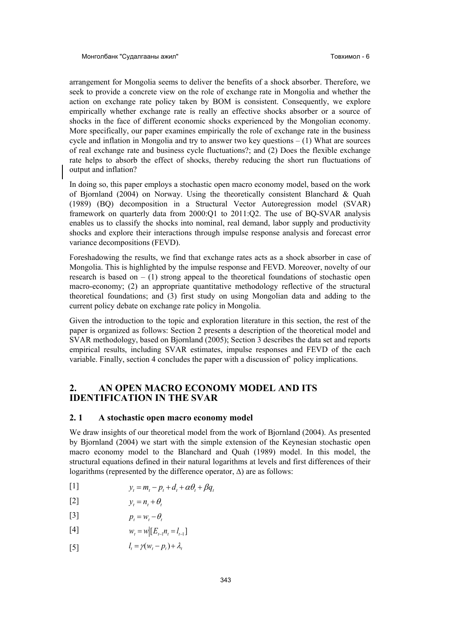arrangement for Mongolia seems to deliver the benefits of a shock absorber. Therefore, we seek to provide a concrete view on the role of exchange rate in Mongolia and whether the action on exchange rate policy taken by BOM is consistent. Consequently, we explore empirically whether exchange rate is really an effective shocks absorber or a source of shocks in the face of different economic shocks experienced by the Mongolian economy. More specifically, our paper examines empirically the role of exchange rate in the business cycle and inflation in Mongolia and try to answer two key questions  $- (1)$  What are sources of real exchange rate and business cycle fluctuations?; and (2) Does the flexible exchange rate helps to absorb the effect of shocks, thereby reducing the short run fluctuations of output and inflation?

In doing so, this paper employs a stochastic open macro economy model, based on the work of Bjornland (2004) on Norway. Using the theoretically consistent Blanchard & Quah (1989) (BQ) decomposition in a Structural Vector Autoregression model (SVAR) framework on quarterly data from 2000:Q1 to 2011:Q2. The use of BQ-SVAR analysis enables us to classify the shocks into nominal, real demand, labor supply and productivity shocks and explore their interactions through impulse response analysis and forecast error variance decompositions (FEVD).

Foreshadowing the results, we find that exchange rates acts as a shock absorber in case of Mongolia. This is highlighted by the impulse response and FEVD. Moreover, novelty of our research is based on  $- (1)$  strong appeal to the theoretical foundations of stochastic open macro-economy; (2) an appropriate quantitative methodology reflective of the structural theoretical foundations; and (3) first study on using Mongolian data and adding to the current policy debate on exchange rate policy in Mongolia.

Given the introduction to the topic and exploration literature in this section, the rest of the paper is organized as follows: Section 2 presents a description of the theoretical model and SVAR methodology, based on Bjornland (2005); Section 3 describes the data set and reports empirical results, including SVAR estimates, impulse responses and FEVD of the each variable. Finally, section 4 concludes the paper with a discussion of` policy implications.

#### **2. AN OPEN MACRO ECONOMY MODEL AND ITS IDENTIFICATION IN THE SVAR**

#### **2. 1 A stochastic open macro economy model**

We draw insights of our theoretical model from the work of Bjornland (2004). As presented by Bjornland (2004) we start with the simple extension of the Keynesian stochastic open macro economy model to the Blanchard and Quah (1989) model. In this model, the structural equations defined in their natural logarithms at levels and first differences of their logarithms (represented by the difference operator,  $\Delta$ ) are as follows:

$$
y_t = m_t - p_t + d_t + \alpha \theta_t + \beta q_t
$$

$$
y_t = n_t + \theta_t
$$

$$
p_t = w_t - \theta_t
$$

- $W_t = w \left[ E_{t-1} n_t = l_{t-1} \right]$
- [5] *l*  $\gamma_t = \gamma(w_t - p_t) + \lambda_t$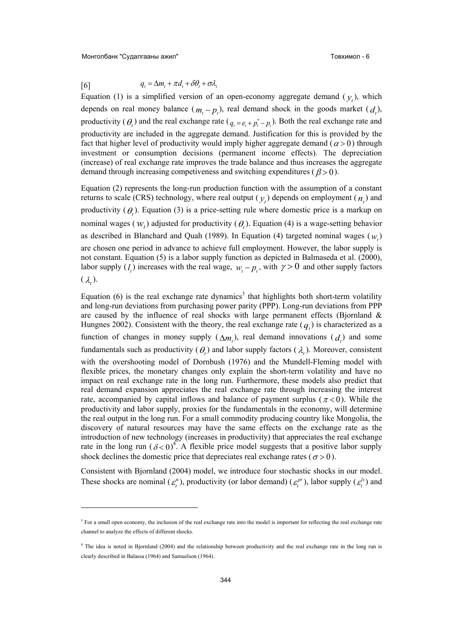Монголбанк "Судалгааны ажил" <sup>Монг</sup>ейда ажил ажил американы от товхимол - 6

 $\overline{a}$ 

 $q_t = \Delta m_t + \pi d_t + \delta \theta_t + \sigma \lambda_t$ 

Equation (1) is a simplified version of an open-economy aggregate demand  $(y_t)$ , which depends on real money balance  $(m_t - p_t)$ , real demand shock in the goods market  $(d_t)$ , productivity ( $\theta$ <sub>t</sub>) and the real exchange rate ( $q_t = e_t + p_t^* - p_t$ ). Both the real exchange rate and productivity are included in the aggregate demand. Justification for this is provided by the fact that higher level of productivity would imply higher aggregate demand ( $\alpha$  > 0) through investment or consumption decisions (permanent income effects). The depreciation (increase) of real exchange rate improves the trade balance and thus increases the aggregate demand through increasing competiveness and switching expenditures ( $\beta > 0$ ).

Equation (2) represents the long-run production function with the assumption of a constant returns to scale (CRS) technology, where real output  $(y_t)$  depends on employment  $(n_t)$  and productivity  $(\theta_t)$ . Equation (3) is a price-setting rule where domestic price is a markup on nominal wages ( $W_t$ ) adjusted for productivity ( $\theta_t$ ). Equation (4) is a wage-setting behavior as described in Blanchard and Quah (1989). In Equation (4) targeted nominal wages  $(w_t)$ are chosen one period in advance to achieve full employment. However, the labor supply is not constant. Equation (5) is a labor supply function as depicted in Balmaseda et al. (2000), labor supply  $(l_i)$  increases with the real wage,  $w_i - p_i$ , with  $\gamma > 0$  and other supply factors  $(\lambda_t)$ .

Equation  $(6)$  is the real exchange rate dynamics<sup>3</sup> that highlights both short-term volatility and long-run deviations from purchasing power parity (PPP). Long-run deviations from PPP are caused by the influence of real shocks with large permanent effects (Bjornland & Hungnes 2002). Consistent with the theory, the real exchange rate  $(q_t)$  is characterized as a function of changes in money supply  $(\Delta m_t)$ , real demand innovations  $(d_t)$  and some fundamentals such as productivity ( $\theta$ <sub>t</sub>) and labor supply factors ( $\lambda$ <sub>t</sub>). Moreover, consistent with the overshooting model of Dornbush (1976) and the Mundell-Fleming model with flexible prices, the monetary changes only explain the short-term volatility and have no impact on real exchange rate in the long run. Furthermore, these models also predict that real demand expansion appreciates the real exchange rate through increasing the interest rate, accompanied by capital inflows and balance of payment surplus ( $\pi$  < 0). While the productivity and labor supply, proxies for the fundamentals in the economy, will determine the real output in the long run. For a small commodity producing country like Mongolia, the discovery of natural resources may have the same effects on the exchange rate as the introduction of new technology (increases in productivity) that appreciates the real exchange rate in the long run  $(\delta < 0)^4$ . A flexible price model suggests that a positive labor supply shock declines the domestic price that depreciates real exchange rates ( $\sigma > 0$ ).

Consistent with Bjornland (2004) model, we introduce four stochastic shocks in our model. These shocks are nominal ( $\varepsilon_t^n$ ), productivity (or labor demand) ( $\varepsilon_t^{pr}$ ), labor supply ( $\varepsilon_t^{ls}$ ) and

<sup>&</sup>lt;sup>3</sup> For a small open economy, the inclusion of the real exchange rate into the model is important for reflecting the real exchange rate channel to analyze the effects of different shocks.

<sup>&</sup>lt;sup>4</sup> The idea is noted in Bjornland (2004) and the relationship between productivity and the real exchange rate in the long run is clearly described in Balassa (1964) and Samuelson (1964).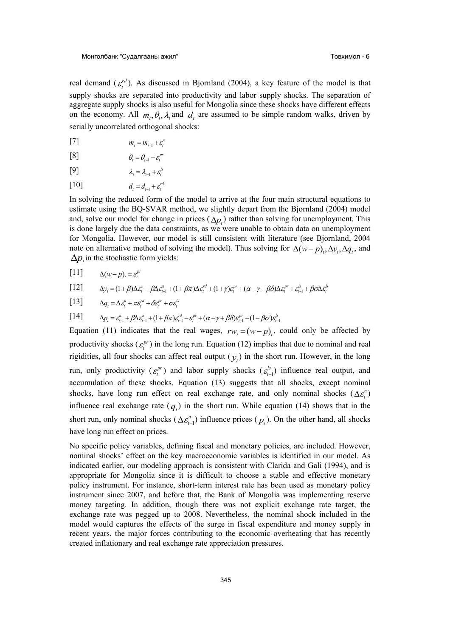real demand  $(\varepsilon_t^{rd})$ . As discussed in Bjornland (2004), a key feature of the model is that supply shocks are separated into productivity and labor supply shocks. The separation of aggregate supply shocks is also useful for Mongolia since these shocks have different effects on the economy. All  $m_t$ ,  $\theta_t$ ,  $\lambda_t$  and  $d_t$  are assumed to be simple random walks, driven by serially uncorrelated orthogonal shocks:

- $m_t = m_{t-1} + \varepsilon_t^n$
- [8]  $\theta_t = \theta_{t-1} + \varepsilon_t^{pr}$

$$
[9] \qquad \qquad \lambda_t = \lambda_{t-1} + \varepsilon_t^{ls}
$$

 $d_t = d_{t-1} + \varepsilon_t^{rd}$ 

In solving the reduced form of the model to arrive at the four main structural equations to estimate using the BQ-SVAR method, we slightly depart from the Bjornland (2004) model and, solve our model for change in prices  $(\Delta p_t)$  rather than solving for unemployment. This is done largely due the data constraints, as we were unable to obtain data on unemployment for Mongolia. However, our model is still consistent with literature (see Bjornland, 2004 note on alternative method of solving the model). Thus solving for  $\Delta(w-p)$ ,  $\Delta y$ ,  $\Delta q$ , and  $\Delta p_t$  in the stochastic form yields:

 $[11]$   $\Delta(w-p)_t = \varepsilon_t^{pr}$ 

$$
[12] \qquad \Delta y_t = (1+\beta)\Delta\varepsilon_t^n - \beta\Delta\varepsilon_{t-1}^n + (1+\beta\pi)\Delta\varepsilon_t^{rd} + (1+\gamma)\varepsilon_t^{pr} + (\alpha-\gamma+\beta\delta)\Delta\varepsilon_t^{pr} + \varepsilon_{t-1}^k + \beta\sigma\Delta\varepsilon_t^{ls}
$$

 $\Delta q_t = \Delta \varepsilon_t^n + \pi \varepsilon_t^{rd} + \delta \varepsilon_t^{pr} + \sigma \varepsilon_t^{ls}$ 

 $[14]$   $\Delta p_t = \varepsilon_{t-1}^n + \beta \Delta \varepsilon_{t-1}^n + (1 + \beta \pi) \varepsilon_{t-1}^{rd} - \varepsilon_t^{pr} + (\alpha - \gamma + \beta \delta) \varepsilon_{t-1}^{pr} - (1 - \beta \sigma) \varepsilon_{t-1}^{ls}$ 

Equation (11) indicates that the real wages,  $rw_t = (w - p)_t$ , could only be affected by productivity shocks  $(\varepsilon_t^{pr})$  in the long run. Equation (12) implies that due to nominal and real rigidities, all four shocks can affect real output  $(y<sub>t</sub>)$  in the short run. However, in the long run, only productivity  $(\varepsilon_t^{pr})$  and labor supply shocks  $(\varepsilon_{t-1}^{ls})$  influence real output, and accumulation of these shocks. Equation (13) suggests that all shocks, except nominal shocks, have long run effect on real exchange rate, and only nominal shocks  $(\Delta \varepsilon^n_i)$ influence real exchange rate  $(q_t)$  in the short run. While equation (14) shows that in the short run, only nominal shocks  $(\Delta \varepsilon_{t-1}^n)$  influence prices  $(p_t)$ . On the other hand, all shocks have long run effect on prices.

No specific policy variables, defining fiscal and monetary policies, are included. However, nominal shocks' effect on the key macroeconomic variables is identified in our model. As indicated earlier, our modeling approach is consistent with Clarida and Gali (1994), and is appropriate for Mongolia since it is difficult to choose a stable and effective monetary policy instrument. For instance, short-term interest rate has been used as monetary policy instrument since 2007, and before that, the Bank of Mongolia was implementing reserve money targeting. In addition, though there was not explicit exchange rate target, the exchange rate was pegged up to 2008. Nevertheless, the nominal shock included in the model would captures the effects of the surge in fiscal expenditure and money supply in recent years, the major forces contributing to the economic overheating that has recently created inflationary and real exchange rate appreciation pressures.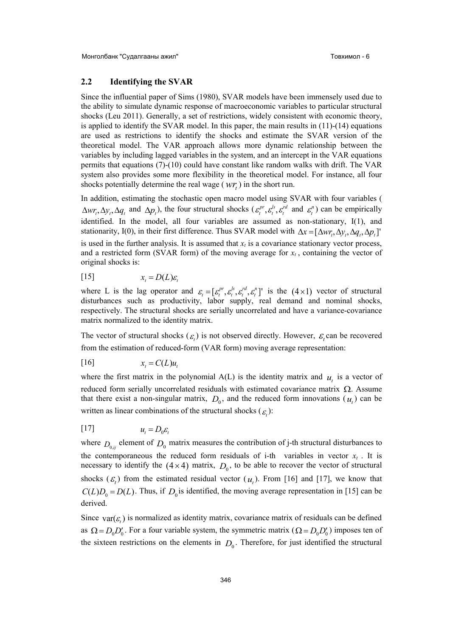#### **2.2 Identifying the SVAR**

Since the influential paper of Sims (1980), SVAR models have been immensely used due to the ability to simulate dynamic response of macroeconomic variables to particular structural shocks (Leu 2011). Generally, a set of restrictions, widely consistent with economic theory, is applied to identify the SVAR model. In this paper, the main results in (11)-(14) equations are used as restrictions to identify the shocks and estimate the SVAR version of the theoretical model. The VAR approach allows more dynamic relationship between the variables by including lagged variables in the system, and an intercept in the VAR equations permits that equations (7)-(10) could have constant like random walks with drift. The VAR system also provides some more flexibility in the theoretical model. For instance, all four shocks potentially determine the real wage ( $wr$ <sub>t</sub>) in the short run.

In addition, estimating the stochastic open macro model using SVAR with four variables (  $\Delta wr_t, \Delta y_t, \Delta q_t$  and  $\Delta p_t$ ), the four structural shocks  $(\varepsilon_t^{pr}, \varepsilon_t^{ls}, \varepsilon_t^{rd}$  and  $\varepsilon_t^n)$  can be empirically identified. In the model, all four variables are assumed as non-stationary, I(1), and stationarity, I(0), in their first difference. Thus SVAR model with  $\Delta x = [\Delta wr_r, \Delta y_t, \Delta q_t, \Delta p_t]$ is used in the further analysis. It is assumed that  $x_t$  is a covariance stationary vector process, and a restricted form (SVAR form) of the moving average for  $x_t$ , containing the vector of original shocks is:

$$
[15] \t x_t = D(L)\varepsilon_t
$$

where L is the lag operator and  $\varepsilon_t = [\varepsilon_t^{pr}, \varepsilon_t^{ls}, \varepsilon_t^{rd}, \varepsilon_t^{r}]'$  is the (4 x 1) vector of structural disturbances such as productivity, labor supply, real demand and nominal shocks, respectively. The structural shocks are serially uncorrelated and have a variance-covariance matrix normalized to the identity matrix.

The vector of structural shocks  $(\varepsilon_t)$  is not observed directly. However,  $\varepsilon_t$  can be recovered from the estimation of reduced-form (VAR form) moving average representation:

$$
[16] \t x_t = C(L)u_t
$$

where the first matrix in the polynomial  $A(L)$  is the identity matrix and  $u_t$  is a vector of reduced form serially uncorrelated residuals with estimated covariance matrix  $\Omega$ . Assume that there exist a non-singular matrix,  $D_0$ , and the reduced form innovations  $(u_t)$  can be written as linear combinations of the structural shocks  $(\varepsilon_t)$ :

$$
[17] \t u_t = D_0 \varepsilon_t
$$

where  $D_{0,ij}$  element of  $D_0$  matrix measures the contribution of j-th structural disturbances to the contemporaneous the reduced form residuals of i-th variables in vector  $x_t$ . It is necessary to identify the  $(4 \times 4)$  matrix,  $D_0$ , to be able to recover the vector of structural shocks  $(\varepsilon_t)$  from the estimated residual vector  $(u_t)$ . From [16] and [17], we know that  $C(L)D_0 = D(L)$ . Thus, if  $D_0$  is identified, the moving average representation in [15] can be derived.

Since  $var(\varepsilon_t)$  is normalized as identity matrix, covariance matrix of residuals can be defined as  $\Omega = D_0 D'_0$ . For a four variable system, the symmetric matrix  $(Q = D_0 D'_0)$  imposes ten of the sixteen restrictions on the elements in  $D_0$ . Therefore, for just identified the structural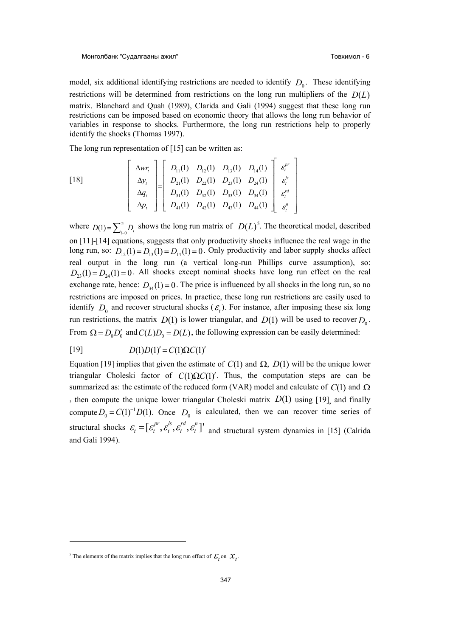model, six additional identifying restrictions are needed to identify  $D_0$ . These identifying restrictions will be determined from restrictions on the long run multipliers of the *D*(*L*) matrix. Blanchard and Quah (1989), Clarida and Gali (1994) suggest that these long run restrictions can be imposed based on economic theory that allows the long run behavior of variables in response to shocks. Furthermore, the long run restrictions help to properly identify the shocks (Thomas 1997).

The long run representation of [15] can be written as:

$$
\begin{bmatrix} 18 \end{bmatrix} \qquad \begin{bmatrix} \Delta wr_t \\ \Delta y_t \\ \Delta q_t \\ \Delta p_t \end{bmatrix} = \begin{bmatrix} D_{11}(1) & D_{12}(1) & D_{13}(1) & D_{14}(1) \\ D_{21}(1) & D_{22}(1) & D_{23}(1) & D_{24}(1) \\ D_{31}(1) & D_{32}(1) & D_{33}(1) & D_{34}(1) \\ D_{41}(1) & D_{42}(1) & D_{43}(1) & D_{44}(1) \end{bmatrix} \begin{bmatrix} \varepsilon_t^{pr} \\ \varepsilon_t^{r} \\ \varepsilon_t^{r} \\ \varepsilon_t^{r} \\ \varepsilon_t^{r} \end{bmatrix}
$$

where  $D(1) = \sum_{i=0}^{\infty} D_i$  $\sum_{i=0}^{\infty} D_i$  shows the long run matrix of  $D(L)$ <sup>5</sup>. The theoretical model, described on [11]-[14] equations, suggests that only productivity shocks influence the real wage in the long run, so:  $D_{12}(1) = D_{13}(1) = D_{14}(1) = 0$ . Only productivity and labor supply shocks affect real output in the long run (a vertical long-run Phillips curve assumption), so:  $D_{23}(1) = D_{24}(1) = 0$ . All shocks except nominal shocks have long run effect on the real exchange rate, hence:  $D_{34}(1) = 0$ . The price is influenced by all shocks in the long run, so no restrictions are imposed on prices. In practice, these long run restrictions are easily used to identify  $D_0$  and recover structural shocks  $(\mathcal{E}_t)$ . For instance, after imposing these six long run restrictions, the matrix  $D(1)$  is lower triangular, and  $D(1)$  will be used to recover  $D_0$ . From  $\Omega = D_0 D'_0$  and  $C(L)D_0 = D(L)$ , the following expression can be easily determined:

### $D(1)D(1)' = C(1)\Omega C(1)'$

Equation [19] implies that given the estimate of  $C(1)$  and  $\Omega$ ,  $D(1)$  will be the unique lower triangular Choleski factor of  $C(1)\Omega C(1)$ . Thus, the computation steps are can be summarized as: the estimate of the reduced form (VAR) model and calculate of  $C(1)$  and  $\Omega$ , then compute the unique lower triangular Choleski matrix *D*(1) using [19], and finally compute  $D_0 = C(1)^{-1}D(1)$ . Once  $D_0$  is calculated, then we can recover time series of structural shocks  $\mathcal{E}_t = [\mathcal{E}_t^{pr}, \mathcal{E}_t^{ls}, \mathcal{E}_t^{rd}, \mathcal{E}_t^{n}]'$  and structural system dynamics in [15] (Calrida and Gali 1994).

**.** 

<sup>&</sup>lt;sup>5</sup> The elements of the matrix implies that the long run effect of  $\mathcal{E}_t$  on  $\mathcal{X}_t$ .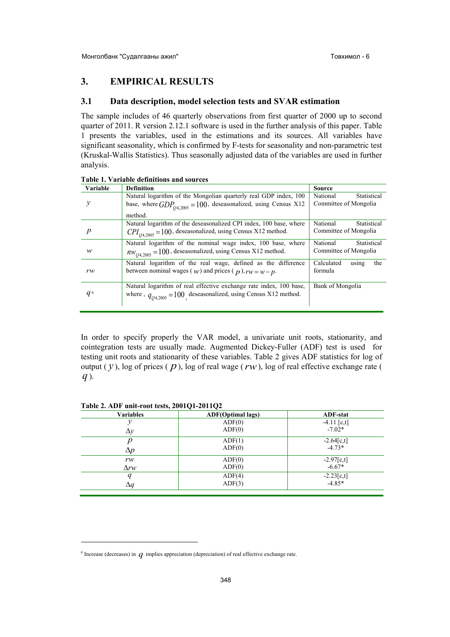#### **3. EMPIRICAL RESULTS**

#### **3.1 Data description, model selection tests and SVAR estimation**

The sample includes of 46 quarterly observations from first quarter of 2000 up to second quarter of 2011. R version 2.12.1 software is used in the further analysis of this paper. Table 1 presents the variables, used in the estimations and its sources. All variables have significant seasonality, which is confirmed by F-tests for seasonality and non-parametric test (Kruskal-Wallis Statistics). Thus seasonally adjusted data of the variables are used in further analysis.

| Variable | <b>Definition</b>                                                    | <b>Source</b>              |
|----------|----------------------------------------------------------------------|----------------------------|
|          | Natural logarithm of the Mongolian quarterly real GDP index, 100     | Statistical<br>National    |
|          | base, where $GDP_{04,2005} = 100$ , deseasonalized, using Census X12 | Committee of Mongolia      |
|          | method.                                                              |                            |
|          | Natural logarithm of the deseasonalized CPI index, 100 base, where   | National<br>Statistical    |
| p        | $CPI_{O42005}$ = 100, deseasonalized, using Census X12 method.       | Committee of Mongolia      |
|          | Natural logarithm of the nominal wage index, 100 base, where         | National<br>Statistical    |
| w        | $nw_{04,2005} = 100$ , deseasonalized, using Census X12 method.      | Committee of Mongolia      |
|          | Natural logarithm of the real wage, defined as the difference        | Calculated<br>the<br>using |
| rw       | between nominal wages ( $w$ ) and prices ( $p$ ), $rw = w - p$ .     | formula                    |
|          | Natural logarithm of real effective exchange rate index, 100 base,   | Bank of Mongolia           |
| $q_{6}$  | where, $q_{04,2005} = 100$ deseasonalized, using Census X12 method.  |                            |
|          |                                                                      |                            |

**Table 1. Variable definitions and sources** 

In order to specify properly the VAR model, a univariate unit roots, stationarity, and cointegration tests are usually made. Augmented Dickey-Fuller (ADF) test is used for testing unit roots and stationarity of these variables. Table 2 gives ADF statistics for log of output  $(y)$ , log of prices  $(p)$ , log of real wage  $(rw)$ , log of real effective exchange rate ( *q* ).

#### **Table 2. ADF unit-root tests, 2001Q1-2011Q2**

 $\overline{a}$ 

| <b>Variables</b> | <b>ADF</b> (Optimal lags) | <b>ADF-stat</b> |
|------------------|---------------------------|-----------------|
|                  | ADF(0)                    | $-4.11$ [c,t]   |
| $\Delta y$       | ADF(0)                    | $-7.02*$        |
| n                | ADF(1)                    | $-2.64[c, t]$   |
| $\Delta p$       | ADF(0)                    | $-4.73*$        |
| rw               | ADF(0)                    | $-2.97[c, t]$   |
| $\Delta rw$      | ADF(0)                    | $-6.67*$        |
| q                | ADF(4)                    | $-2.23[c,t]$    |
| $\Delta q$       | ADF(3)                    | $-4.85*$        |

 $^6$  Increase (decreases) in  $q$  implies appreciation (depreciation) of real effective exchange rate.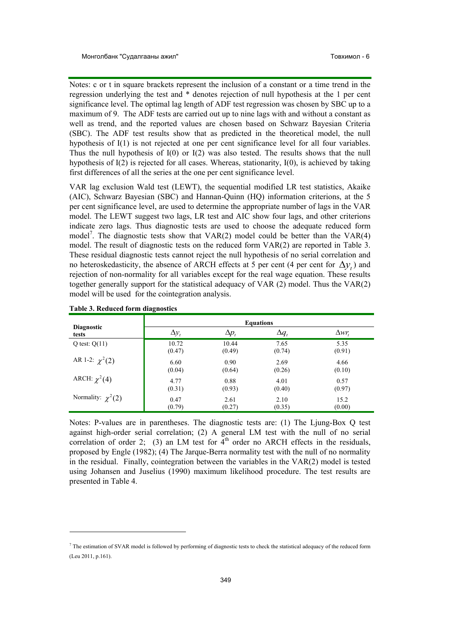Notes: c or t in square brackets represent the inclusion of a constant or a time trend in the regression underlying the test and \* denotes rejection of null hypothesis at the 1 per cent significance level. The optimal lag length of ADF test regression was chosen by SBC up to a maximum of 9. The ADF tests are carried out up to nine lags with and without a constant as well as trend, and the reported values are chosen based on Schwarz Bayesian Criteria (SBC). The ADF test results show that as predicted in the theoretical model, the null hypothesis of I(1) is not rejected at one per cent significance level for all four variables. Thus the null hypothesis of  $I(0)$  or  $I(2)$  was also tested. The results shows that the null hypothesis of I(2) is rejected for all cases. Whereas, stationarity, I(0), is achieved by taking first differences of all the series at the one per cent significance level.

VAR lag exclusion Wald test (LEWT), the sequential modified LR test statistics, Akaike (AIC), Schwarz Bayesian (SBC) and Hannan-Quinn (HQ) information criterions, at the 5 per cent significance level, are used to determine the appropriate number of lags in the VAR model. The LEWT suggest two lags, LR test and AIC show four lags, and other criterions indicate zero lags. Thus diagnostic tests are used to choose the adequate reduced form model<sup>7</sup>. The diagnostic tests show that  $VAR(2)$  model could be better than the  $VAR(4)$ model. The result of diagnostic tests on the reduced form VAR(2) are reported in Table 3. These residual diagnostic tests cannot reject the null hypothesis of no serial correlation and no heteroskedasticity, the absence of ARCH effects at 5 per cent (4 per cent for  $\Delta y_t$ ) and rejection of non-normality for all variables except for the real wage equation. These results together generally support for the statistical adequacy of VAR (2) model. Thus the VAR(2) model will be used for the cointegration analysis.

|                                   |              |                | <b>Equations</b> |                 |
|-----------------------------------|--------------|----------------|------------------|-----------------|
| <b>Diagnostic</b><br><b>tests</b> | $\Delta y_t$ | $\Delta p_{t}$ | $\Delta q_t$     | $\Delta wr_{t}$ |
| Q test: $Q(11)$                   | 10.72        | 10.44          | 7.65             | 5.35            |
|                                   | (0.47)       | (0.49)         | (0.74)           | (0.91)          |
| AR 1-2: $\chi^2(2)$               | 6.60         | 0.90           | 2.69             | 4.66            |
|                                   | (0.04)       | (0.64)         | (0.26)           | (0.10)          |
| ARCH: $\chi^2(4)$                 | 4.77         | 0.88           | 4.01             | 0.57            |
|                                   | (0.31)       | (0.93)         | (0.40)           | (0.97)          |
| Normality: $\chi^2(2)$            | 0.47         | 2.61           | 2.10             | 15.2            |
|                                   | (0.79)       | (0.27)         | (0.35)           | (0.00)          |

**Table 3. Reduced form diagnostics** 

-

Notes: P-values are in parentheses. The diagnostic tests are: (1) The Ljung-Box Q test against high-order serial correlation; (2) A general LM test with the null of no serial correlation of order 2; (3) an LM test for  $4<sup>th</sup>$  order no ARCH effects in the residuals, proposed by Engle (1982); (4) The Jarque-Berra normality test with the null of no normality in the residual. Finally, cointegration between the variables in the VAR(2) model is tested using Johansen and Juselius (1990) maximum likelihood procedure. The test results are presented in Table 4.

 $^7$  The estimation of SVAR model is followed by performing of diagnostic tests to check the statistical adequacy of the reduced form (Leu 2011, p.161).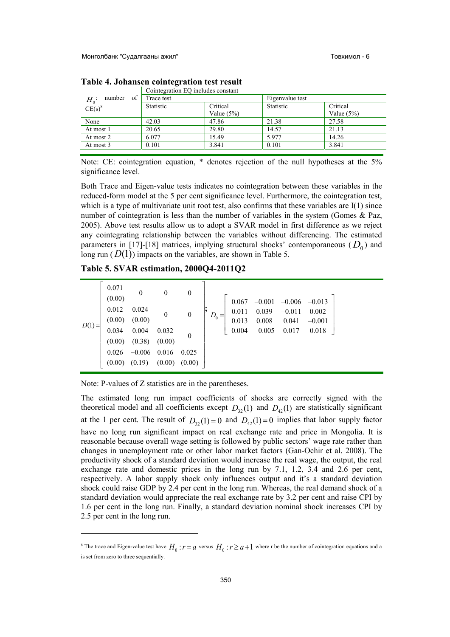|                               | Cointegration EQ includes constant |               |                 |               |  |  |  |
|-------------------------------|------------------------------------|---------------|-----------------|---------------|--|--|--|
| of<br>number<br>$H_0^{\cdot}$ | Trace test                         |               | Eigenvalue test |               |  |  |  |
| $CE(s)^8$                     | Statistic<br>Critical              |               | Statistic       | Critical      |  |  |  |
|                               |                                    | Value $(5\%)$ |                 | Value $(5\%)$ |  |  |  |
| None                          | 42.03                              | 47.86         | 21.38           | 27.58         |  |  |  |
| At most 1                     | 20.65                              | 29.80         | 14.57           | 21.13         |  |  |  |
| At most 2                     | 6.077                              | 15.49         | 5.977           | 14.26         |  |  |  |
| At most 3                     | 0.101                              | 3.841         | 0.101           | 3.841         |  |  |  |

**Table 4. Johansen cointegration test result** 

Note: CE: cointegration equation, \* denotes rejection of the null hypotheses at the 5% significance level.

Both Trace and Eigen-value tests indicates no cointegration between these variables in the reduced-form model at the 5 per cent significance level. Furthermore, the cointegration test, which is a type of multivariate unit root test, also confirms that these variables are  $I(1)$  since number of cointegration is less than the number of variables in the system (Gomes & Paz, 2005). Above test results allow us to adopt a SVAR model in first difference as we reject any cointegrating relationship between the variables without differencing. The estimated parameters in [17]-[18] matrices, implying structural shocks' contemporaneous  $(D_0)$  and long run  $(D(1))$  impacts on the variables, are shown in Table 5.

**Table 5. SVAR estimation, 2000Q4-2011Q2** 

|      | 0.071<br>(0.00)            |                                            | $\mathbf{0}$            | $\theta$         |           | 0.067          | $-0.001$                                      | $-0.006$          | $-0.013$          |  |
|------|----------------------------|--------------------------------------------|-------------------------|------------------|-----------|----------------|-----------------------------------------------|-------------------|-------------------|--|
|      | 0.012                      | 0.024                                      | $\overline{\mathbf{0}}$ | $\boldsymbol{0}$ | $D_0 = 1$ | 0.011<br>0.013 | $\begin{array}{c} 0.039 \\ 0.008 \end{array}$ | $-0.011$<br>0.041 | 0.002<br>$-0.001$ |  |
| D(1) | (0.00)                     | $(0.00)$ $(0.00)$<br>0.034 0.004<br>(0.38) | 0.032<br>(0.00)         |                  |           | 0.004          | $-0.005$                                      | 0.017             | 0.018             |  |
|      | 0.026<br>$(0.00)$ $(0.19)$ | $-0.006$ 0.016                             | (0.00)                  | 0.025<br>(0.00)  |           |                |                                               |                   |                   |  |

Note: P-values of Z statistics are in the parentheses.

 $\overline{a}$ 

The estimated long run impact coefficients of shocks are correctly signed with the theoretical model and all coefficients except  $D_{32}(1)$  and  $D_{42}(1)$  are statistically significant at the 1 per cent. The result of  $D_{32}(1) = 0$  and  $D_{42}(1) = 0$  implies that labor supply factor have no long run significant impact on real exchange rate and price in Mongolia. It is reasonable because overall wage setting is followed by public sectors' wage rate rather than changes in unemployment rate or other labor market factors (Gan-Ochir et al. 2008). The productivity shock of a standard deviation would increase the real wage, the output, the real exchange rate and domestic prices in the long run by 7.1, 1.2, 3.4 and 2.6 per cent, respectively. A labor supply shock only influences output and it's a standard deviation shock could raise GDP by 2.4 per cent in the long run. Whereas, the real demand shock of a standard deviation would appreciate the real exchange rate by 3.2 per cent and raise CPI by 1.6 per cent in the long run. Finally, a standard deviation nominal shock increases CPI by 2.5 per cent in the long run.

<sup>&</sup>lt;sup>8</sup> The trace and Eigen-value test have  $H_0$ :  $r = a$  versus  $H_0$ :  $r \ge a+1$  where r be the number of cointegration equations and a is set from zero to three sequentially.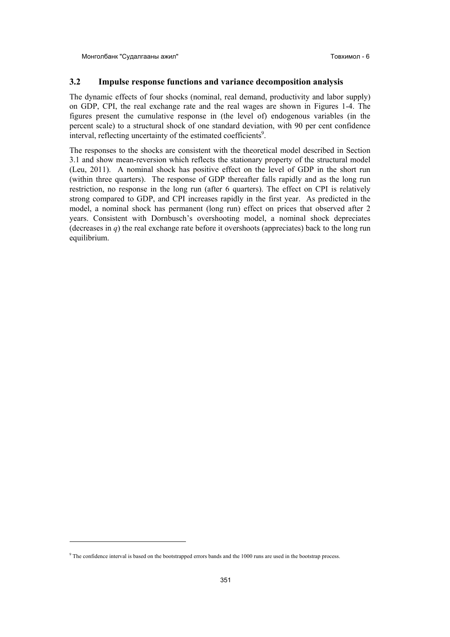#### **3.2 Impulse response functions and variance decomposition analysis**

The dynamic effects of four shocks (nominal, real demand, productivity and labor supply) on GDP, CPI, the real exchange rate and the real wages are shown in Figures 1-4. The figures present the cumulative response in (the level of) endogenous variables (in the percent scale) to a structural shock of one standard deviation, with 90 per cent confidence interval, reflecting uncertainty of the estimated coefficients<sup>9</sup>.

The responses to the shocks are consistent with the theoretical model described in Section 3.1 and show mean-reversion which reflects the stationary property of the structural model (Leu, 2011). A nominal shock has positive effect on the level of GDP in the short run (within three quarters). The response of GDP thereafter falls rapidly and as the long run restriction, no response in the long run (after 6 quarters). The effect on CPI is relatively strong compared to GDP, and CPI increases rapidly in the first year. As predicted in the model, a nominal shock has permanent (long run) effect on prices that observed after 2 years. Consistent with Dornbusch's overshooting model, a nominal shock depreciates (decreases in  $q$ ) the real exchange rate before it overshoots (appreciates) back to the long run equilibrium.

**.** 

<sup>&</sup>lt;sup>9</sup> The confidence interval is based on the bootstrapped errors bands and the 1000 runs are used in the bootstrap process.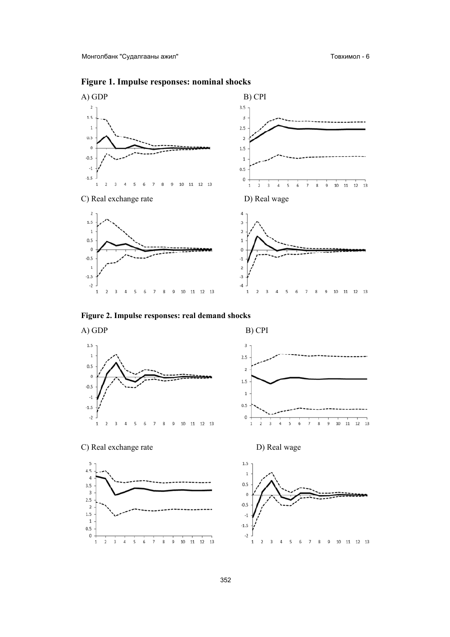



Figure 2. Impulse responses: real demand shocks



C) Real exchange rate





D) Real wage

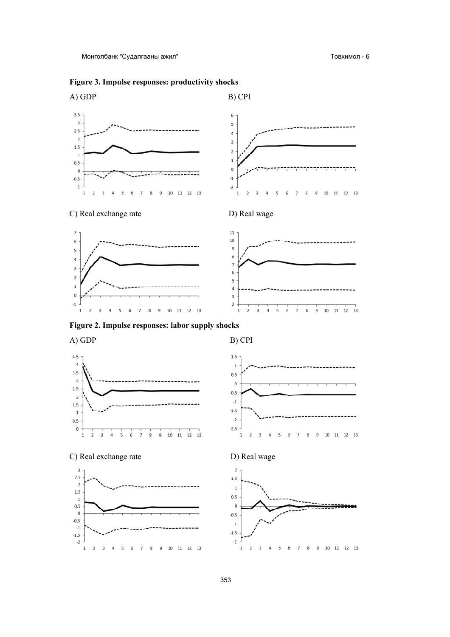Монголбанк "Судалгааны ажил"

Товхимол - 6



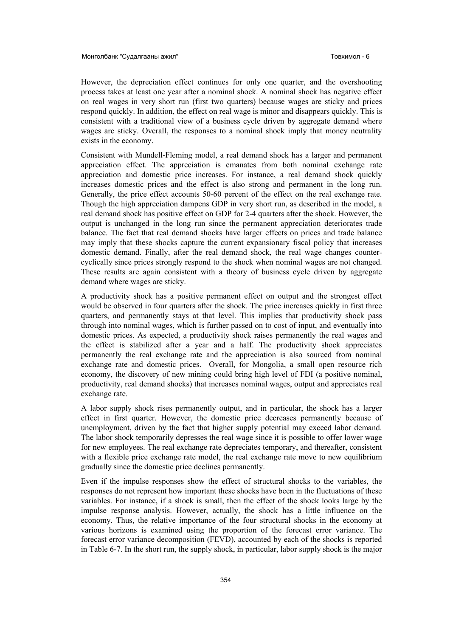However, the depreciation effect continues for only one quarter, and the overshooting process takes at least one year after a nominal shock. A nominal shock has negative effect on real wages in very short run (first two quarters) because wages are sticky and prices respond quickly. In addition, the effect on real wage is minor and disappears quickly. This is consistent with a traditional view of a business cycle driven by aggregate demand where wages are sticky. Overall, the responses to a nominal shock imply that money neutrality exists in the economy.

Consistent with Mundell-Fleming model, a real demand shock has a larger and permanent appreciation effect. The appreciation is emanates from both nominal exchange rate appreciation and domestic price increases. For instance, a real demand shock quickly increases domestic prices and the effect is also strong and permanent in the long run. Generally, the price effect accounts 50-60 percent of the effect on the real exchange rate. Though the high appreciation dampens GDP in very short run, as described in the model, a real demand shock has positive effect on GDP for 2-4 quarters after the shock. However, the output is unchanged in the long run since the permanent appreciation deteriorates trade balance. The fact that real demand shocks have larger effects on prices and trade balance may imply that these shocks capture the current expansionary fiscal policy that increases domestic demand. Finally, after the real demand shock, the real wage changes countercyclically since prices strongly respond to the shock when nominal wages are not changed. These results are again consistent with a theory of business cycle driven by aggregate demand where wages are sticky.

A productivity shock has a positive permanent effect on output and the strongest effect would be observed in four quarters after the shock. The price increases quickly in first three quarters, and permanently stays at that level. This implies that productivity shock pass through into nominal wages, which is further passed on to cost of input, and eventually into domestic prices. As expected, a productivity shock raises permanently the real wages and the effect is stabilized after a year and a half. The productivity shock appreciates permanently the real exchange rate and the appreciation is also sourced from nominal exchange rate and domestic prices. Overall, for Mongolia, a small open resource rich economy, the discovery of new mining could bring high level of FDI (a positive nominal, productivity, real demand shocks) that increases nominal wages, output and appreciates real exchange rate.

A labor supply shock rises permanently output, and in particular, the shock has a larger effect in first quarter. However, the domestic price decreases permanently because of unemployment, driven by the fact that higher supply potential may exceed labor demand. The labor shock temporarily depresses the real wage since it is possible to offer lower wage for new employees. The real exchange rate depreciates temporary, and thereafter, consistent with a flexible price exchange rate model, the real exchange rate move to new equilibrium gradually since the domestic price declines permanently.

Even if the impulse responses show the effect of structural shocks to the variables, the responses do not represent how important these shocks have been in the fluctuations of these variables. For instance, if a shock is small, then the effect of the shock looks large by the impulse response analysis. However, actually, the shock has a little influence on the economy. Thus, the relative importance of the four structural shocks in the economy at various horizons is examined using the proportion of the forecast error variance. The forecast error variance decomposition (FEVD), accounted by each of the shocks is reported in Table 6-7. In the short run, the supply shock, in particular, labor supply shock is the major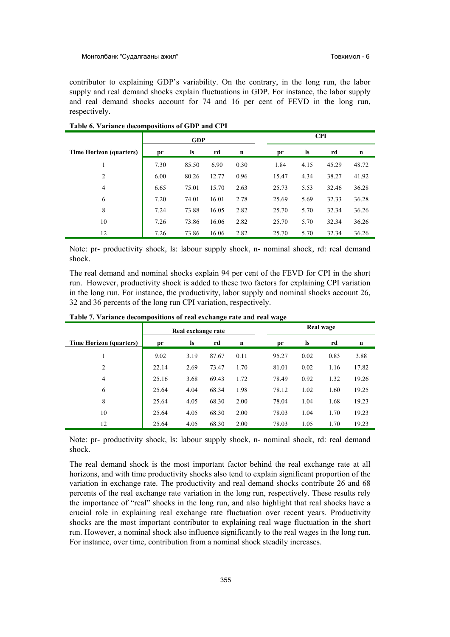contributor to explaining GDP's variability. On the contrary, in the long run, the labor supply and real demand shocks explain fluctuations in GDP. For instance, the labor supply and real demand shocks account for 74 and 16 per cent of FEVD in the long run, respectively.

|                                | <b>GDP</b> |           |       |      |       |           | <b>CPI</b> |       |
|--------------------------------|------------|-----------|-------|------|-------|-----------|------------|-------|
| <b>Time Horizon (quarters)</b> | pr         | <b>ls</b> | rd    | n    | pr    | <b>ls</b> | rd         | n     |
|                                | 7.30       | 85.50     | 6.90  | 0.30 | 1.84  | 4.15      | 45.29      | 48.72 |
| 2                              | 6.00       | 80.26     | 12.77 | 0.96 | 15.47 | 4.34      | 38.27      | 41.92 |
| $\overline{4}$                 | 6.65       | 75.01     | 15.70 | 2.63 | 25.73 | 5.53      | 32.46      | 36.28 |
| 6                              | 7.20       | 74.01     | 16.01 | 2.78 | 25.69 | 5.69      | 32.33      | 36.28 |
| 8                              | 7.24       | 73.88     | 16.05 | 2.82 | 25.70 | 5.70      | 32.34      | 36.26 |
| 10                             | 7.26       | 73.86     | 16.06 | 2.82 | 25.70 | 5.70      | 32.34      | 36.26 |
| 12                             | 7.26       | 73.86     | 16.06 | 2.82 | 25.70 | 5.70      | 32.34      | 36.26 |

#### **Table 6. Variance decompositions of GDP and CPI**

Note: pr- productivity shock, ls: labour supply shock, n- nominal shock, rd: real demand shock.

The real demand and nominal shocks explain 94 per cent of the FEVD for CPI in the short run. However, productivity shock is added to these two factors for explaining CPI variation in the long run. For instance, the productivity, labor supply and nominal shocks account 26, 32 and 36 percents of the long run CPI variation, respectively.

|                                | Real exchange rate |      |       |      |       |           | Real wage |       |
|--------------------------------|--------------------|------|-------|------|-------|-----------|-----------|-------|
| <b>Time Horizon (quarters)</b> | pr                 | ls   | rd    | n    | pr    | <b>ls</b> | rd        | n     |
|                                | 9.02               | 3.19 | 87.67 | 0.11 | 95.27 | 0.02      | 0.83      | 3.88  |
| $\overline{2}$                 | 22.14              | 2.69 | 73.47 | 1.70 | 81.01 | 0.02      | 1.16      | 17.82 |
| $\overline{4}$                 | 25.16              | 3.68 | 69.43 | 1.72 | 78.49 | 0.92      | 1.32      | 19.26 |
| 6                              | 25.64              | 4.04 | 68.34 | 1.98 | 78.12 | 1.02      | 1.60      | 19.25 |
| 8                              | 25.64              | 4.05 | 68.30 | 2.00 | 78.04 | 1.04      | 1.68      | 19.23 |
| 10                             | 25.64              | 4.05 | 68.30 | 2.00 | 78.03 | 1.04      | 1.70      | 19.23 |
| 12                             | 25.64              | 4.05 | 68.30 | 2.00 | 78.03 | 1.05      | 1.70      | 19.23 |

**Table 7. Variance decompositions of real exchange rate and real wage** 

Note: pr- productivity shock, ls: labour supply shock, n- nominal shock, rd: real demand shock.

The real demand shock is the most important factor behind the real exchange rate at all horizons, and with time productivity shocks also tend to explain significant proportion of the variation in exchange rate. The productivity and real demand shocks contribute 26 and 68 percents of the real exchange rate variation in the long run, respectively. These results rely the importance of "real" shocks in the long run, and also highlight that real shocks have a crucial role in explaining real exchange rate fluctuation over recent years. Productivity shocks are the most important contributor to explaining real wage fluctuation in the short run. However, a nominal shock also influence significantly to the real wages in the long run. For instance, over time, contribution from a nominal shock steadily increases.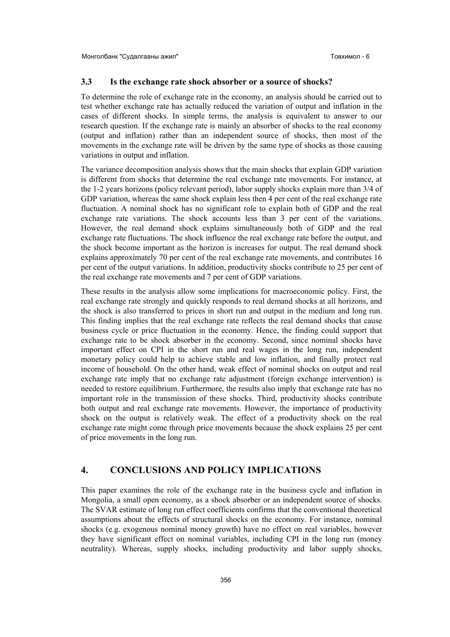#### **3.3 Is the exchange rate shock absorber or a source of shocks?**

To determine the role of exchange rate in the economy, an analysis should be carried out to test whether exchange rate has actually reduced the variation of output and inflation in the cases of different shocks. In simple terms, the analysis is equivalent to answer to our research question. If the exchange rate is mainly an absorber of shocks to the real economy (output and inflation) rather than an independent source of shocks, then most of the movements in the exchange rate will be driven by the same type of shocks as those causing variations in output and inflation.

The variance decomposition analysis shows that the main shocks that explain GDP variation is different from shocks that determine the real exchange rate movements. For instance, at the 1-2 years horizons (policy relevant period), labor supply shocks explain more than 3/4 of GDP variation, whereas the same shock explain less then 4 per cent of the real exchange rate fluctuation. A nominal shock has no significant role to explain both of GDP and the real exchange rate variations. The shock accounts less than 3 per cent of the variations. However, the real demand shock explains simultaneously both of GDP and the real exchange rate fluctuations. The shock influence the real exchange rate before the output, and the shock become important as the horizon is increases for output. The real demand shock explains approximately 70 per cent of the real exchange rate movements, and contributes 16 per cent of the output variations. In addition, productivity shocks contribute to 25 per cent of the real exchange rate movements and 7 per cent of GDP variations.

These results in the analysis allow some implications for macroeconomic policy. First, the real exchange rate strongly and quickly responds to real demand shocks at all horizons, and the shock is also transferred to prices in short run and output in the medium and long run. This finding implies that the real exchange rate reflects the real demand shocks that cause business cycle or price fluctuation in the economy. Hence, the finding could support that exchange rate to be shock absorber in the economy. Second, since nominal shocks have important effect on CPI in the short run and real wages in the long run, independent monetary policy could help to achieve stable and low inflation, and finally protect real income of household. On the other hand, weak effect of nominal shocks on output and real exchange rate imply that no exchange rate adjustment (foreign exchange intervention) is needed to restore equilibrium. Furthermore, the results also imply that exchange rate has no important role in the transmission of these shocks. Third, productivity shocks contribute both output and real exchange rate movements. However, the importance of productivity shock on the output is relatively weak. The effect of a productivity shock on the real exchange rate might come through price movements because the shock explains 25 per cent of price movements in the long run.

#### **4. CONCLUSIONS AND POLICY IMPLICATIONS**

This paper examines the role of the exchange rate in the business cycle and inflation in Mongolia, a small open economy, as a shock absorber or an independent source of shocks. The SVAR estimate of long run effect coefficients confirms that the conventional theoretical assumptions about the effects of structural shocks on the economy. For instance, nominal shocks (e.g. exogenous nominal money growth) have no effect on real variables, however they have significant effect on nominal variables, including CPI in the long run (money neutrality). Whereas, supply shocks, including productivity and labor supply shocks,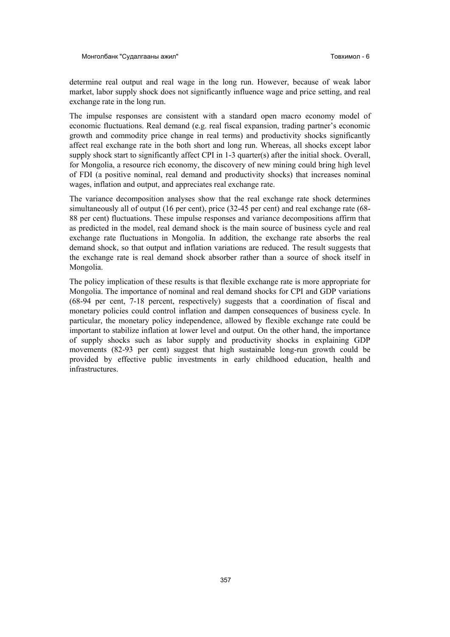determine real output and real wage in the long run. However, because of weak labor market, labor supply shock does not significantly influence wage and price setting, and real exchange rate in the long run.

The impulse responses are consistent with a standard open macro economy model of economic fluctuations. Real demand (e.g. real fiscal expansion, trading partner's economic growth and commodity price change in real terms) and productivity shocks significantly affect real exchange rate in the both short and long run. Whereas, all shocks except labor supply shock start to significantly affect CPI in 1-3 quarter(s) after the initial shock. Overall, for Mongolia, a resource rich economy, the discovery of new mining could bring high level of FDI (a positive nominal, real demand and productivity shocks) that increases nominal wages, inflation and output, and appreciates real exchange rate.

The variance decomposition analyses show that the real exchange rate shock determines simultaneously all of output (16 per cent), price (32-45 per cent) and real exchange rate (68-88 per cent) fluctuations. These impulse responses and variance decompositions affirm that as predicted in the model, real demand shock is the main source of business cycle and real exchange rate fluctuations in Mongolia. In addition, the exchange rate absorbs the real demand shock, so that output and inflation variations are reduced. The result suggests that the exchange rate is real demand shock absorber rather than a source of shock itself in Mongolia.

The policy implication of these results is that flexible exchange rate is more appropriate for Mongolia. The importance of nominal and real demand shocks for CPI and GDP variations (68-94 per cent, 7-18 percent, respectively) suggests that a coordination of fiscal and monetary policies could control inflation and dampen consequences of business cycle. In particular, the monetary policy independence, allowed by flexible exchange rate could be important to stabilize inflation at lower level and output. On the other hand, the importance of supply shocks such as labor supply and productivity shocks in explaining GDP movements (82-93 per cent) suggest that high sustainable long-run growth could be provided by effective public investments in early childhood education, health and infrastructures.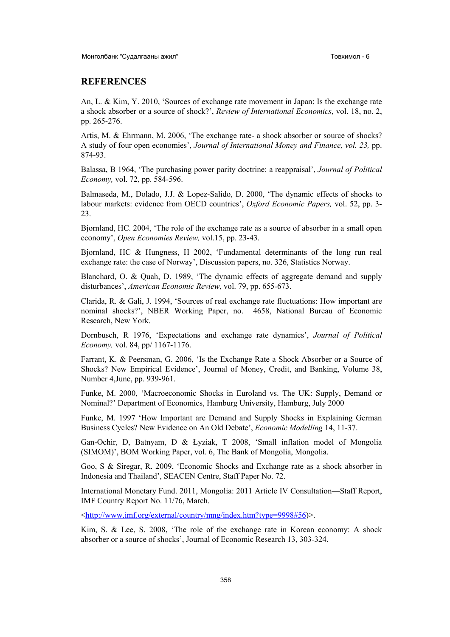#### **REFERENCES**

An, L. & Kim, Y. 2010, 'Sources of exchange rate movement in Japan: Is the exchange rate a shock absorber or a source of shock?', *Review of International Economics*, vol. 18, no. 2, pp. 265-276.

Artis, M. & Ehrmann, M. 2006, 'The exchange rate- a shock absorber or source of shocks? A study of four open economies', *Journal of International Money and Finance, vol. 23,* pp. 874-93.

Balassa, B 1964, 'The purchasing power parity doctrine: a reappraisal', *Journal of Political Economy,* vol. 72, pp. 584-596.

Balmaseda, M., Dolado, J.J. & Lopez-Salido, D. 2000, 'The dynamic effects of shocks to labour markets: evidence from OECD countries', *Oxford Economic Papers,* vol. 52, pp. 3- 23.

Bjornland, HC. 2004, 'The role of the exchange rate as a source of absorber in a small open economy', *Open Economies Review,* vol.15, pp. 23-43.

Bjornland, HC & Hungness, H 2002, 'Fundamental determinants of the long run real exchange rate: the case of Norway', Discussion papers, no. 326, Statistics Norway.

Blanchard, O. & Quah, D. 1989, 'The dynamic effects of aggregate demand and supply disturbances', *American Economic Review*, vol. 79, pp. 655-673.

Clarida, R. & Gali, J. 1994, 'Sources of real exchange rate fluctuations: How important are nominal shocks?', NBER Working Paper, no. 4658, National Bureau of Economic Research, New York.

Dornbusch, R 1976, 'Expectations and exchange rate dynamics', *Journal of Political Economy,* vol. 84, pp/ 1167-1176.

Farrant, K. & Peersman, G. 2006, 'Is the Exchange Rate a Shock Absorber or a Source of Shocks? New Empirical Evidence', Journal of Money, Credit, and Banking, Volume 38, Number 4,June, pp. 939-961.

Funke, M. 2000, 'Macroeconomic Shocks in Euroland vs. The UK: Supply, Demand or Nominal?' Department of Economics, Hamburg University, Hamburg, July 2000

Funke, M. 1997 'How Important are Demand and Supply Shocks in Explaining German Business Cycles? New Evidence on An Old Debate', *Economic Modelling* 14, 11-37.

Gan-Ochir, D, Batnyam, D & Łyziak, T 2008, 'Small inflation model of Mongolia (SIMOM)', BOM Working Paper, vol. 6, The Bank of Mongolia, Mongolia.

Goo, S & Siregar, R. 2009, 'Economic Shocks and Exchange rate as a shock absorber in Indonesia and Thailand', SEACEN Centre, Staff Paper No. 72.

International Monetary Fund. 2011, Mongolia: 2011 Article IV Consultation—Staff Report, IMF Country Report No. 11/76, March.

<http://www.imf.org/external/country/mng/index.htm?type=9998#56)>.

Kim, S. & Lee, S. 2008, 'The role of the exchange rate in Korean economy: A shock absorber or a source of shocks', Journal of Economic Research 13, 303-324.